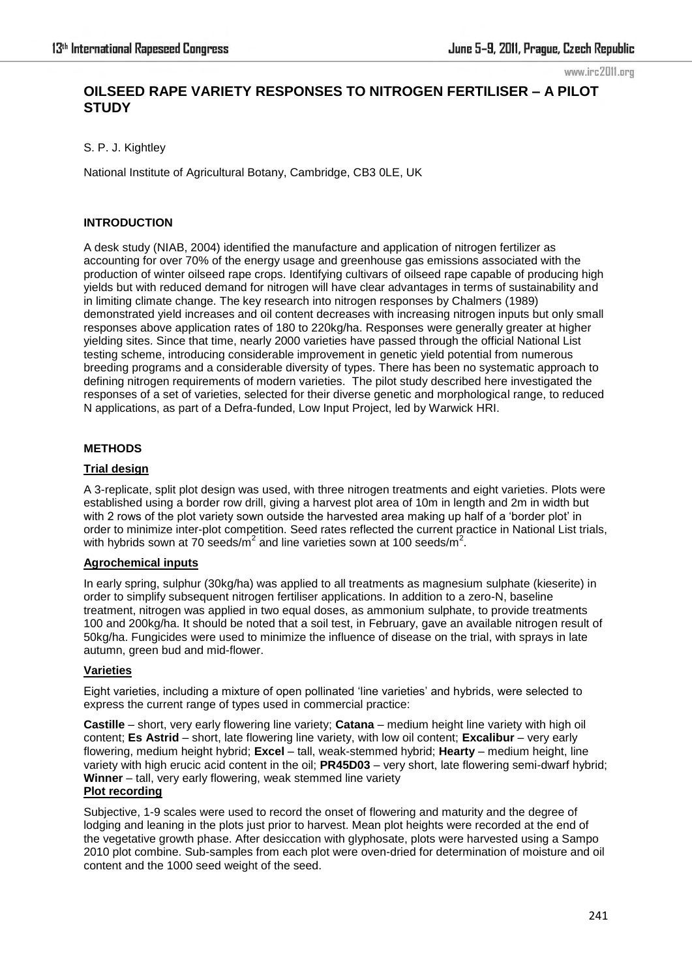www.irc2011.org

# **OILSEED RAPE VARIETY RESPONSES TO NITROGEN FERTILISER – A PILOT STUDY**

S. P. J. Kightley

National Institute of Agricultural Botany, Cambridge, CB3 0LE, UK

## **INTRODUCTION**

A desk study (NIAB, 2004) identified the manufacture and application of nitrogen fertilizer as accounting for over 70% of the energy usage and greenhouse gas emissions associated with the production of winter oilseed rape crops. Identifying cultivars of oilseed rape capable of producing high yields but with reduced demand for nitrogen will have clear advantages in terms of sustainability and in limiting climate change. The key research into nitrogen responses by Chalmers (1989) demonstrated yield increases and oil content decreases with increasing nitrogen inputs but only small responses above application rates of 180 to 220kg/ha. Responses were generally greater at higher yielding sites. Since that time, nearly 2000 varieties have passed through the official National List testing scheme, introducing considerable improvement in genetic yield potential from numerous breeding programs and a considerable diversity of types. There has been no systematic approach to defining nitrogen requirements of modern varieties. The pilot study described here investigated the responses of a set of varieties, selected for their diverse genetic and morphological range, to reduced N applications, as part of a Defra-funded, Low Input Project, led by Warwick HRI.

## **METHODS**

### **Trial design**

A 3-replicate, split plot design was used, with three nitrogen treatments and eight varieties. Plots were established using a border row drill, giving a harvest plot area of 10m in length and 2m in width but with 2 rows of the plot variety sown outside the harvested area making up half of a 'border plot' in order to minimize inter-plot competition. Seed rates reflected the current practice in National List trials, with hybrids sown at 70 seeds/m<sup>2</sup> and line varieties sown at 100 seeds/m<sup>2</sup>.

### **Agrochemical inputs**

In early spring, sulphur (30kg/ha) was applied to all treatments as magnesium sulphate (kieserite) in order to simplify subsequent nitrogen fertiliser applications. In addition to a zero-N, baseline treatment, nitrogen was applied in two equal doses, as ammonium sulphate, to provide treatments 100 and 200kg/ha. It should be noted that a soil test, in February, gave an available nitrogen result of 50kg/ha. Fungicides were used to minimize the influence of disease on the trial, with sprays in late autumn, green bud and mid-flower.

# **Varieties**

Eight varieties, including a mixture of open pollinated ‗line varieties' and hybrids, were selected to express the current range of types used in commercial practice:

**Castille** – short, very early flowering line variety; **Catana** – medium height line variety with high oil content; **Es Astrid** – short, late flowering line variety, with low oil content; **Excalibur** – very early flowering, medium height hybrid; **Excel** – tall, weak-stemmed hybrid; **Hearty** – medium height, line variety with high erucic acid content in the oil; **PR45D03** – very short, late flowering semi-dwarf hybrid; **Winner** – tall, very early flowering, weak stemmed line variety **Plot recording**

Subjective, 1-9 scales were used to record the onset of flowering and maturity and the degree of lodging and leaning in the plots just prior to harvest. Mean plot heights were recorded at the end of the vegetative growth phase. After desiccation with glyphosate, plots were harvested using a Sampo 2010 plot combine. Sub-samples from each plot were oven-dried for determination of moisture and oil content and the 1000 seed weight of the seed.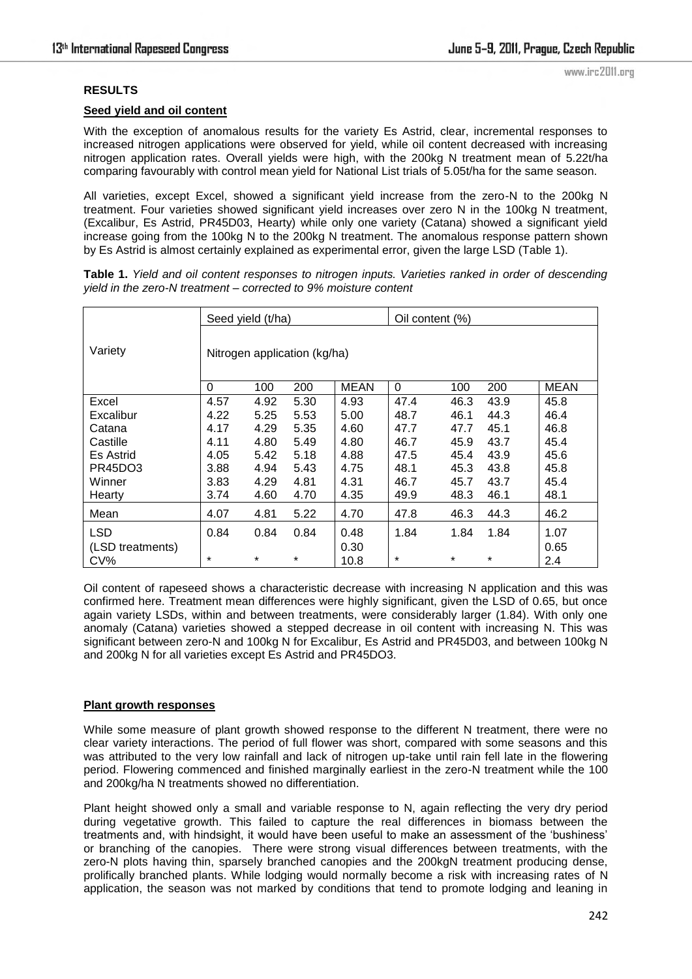#### **RESULTS**

#### **Seed yield and oil content**

With the exception of anomalous results for the variety Es Astrid, clear, incremental responses to increased nitrogen applications were observed for yield, while oil content decreased with increasing nitrogen application rates. Overall yields were high, with the 200kg N treatment mean of 5.22t/ha comparing favourably with control mean yield for National List trials of 5.05t/ha for the same season.

All varieties, except Excel, showed a significant yield increase from the zero-N to the 200kg N treatment. Four varieties showed significant yield increases over zero N in the 100kg N treatment, (Excalibur, Es Astrid, PR45D03, Hearty) while only one variety (Catana) showed a significant yield increase going from the 100kg N to the 200kg N treatment. The anomalous response pattern shown by Es Astrid is almost certainly explained as experimental error, given the large LSD (Table 1).

**Table 1.** *Yield and oil content responses to nitrogen inputs. Varieties ranked in order of descending yield in the zero-N treatment – corrected to 9% moisture content* 

|                  | Seed yield (t/ha)            |      |        |      | Oil content (%) |         |        |      |
|------------------|------------------------------|------|--------|------|-----------------|---------|--------|------|
| Variety          | Nitrogen application (kg/ha) |      |        |      |                 |         |        |      |
|                  | $\Omega$                     | 100  | 200    | MEAN | 0               | 100     | 200    | MEAN |
| Excel            | 4.57                         | 4.92 | 5.30   | 4.93 | 47.4            | 46.3    | 43.9   | 45.8 |
| Excalibur        | 4.22                         | 5.25 | 5.53   | 5.00 | 48.7            | 46.1    | 44.3   | 46.4 |
| Catana           | 4.17                         | 4.29 | 5.35   | 4.60 | 47.7            | 47.7    | 45.1   | 46.8 |
| Castille         | 4.11                         | 4.80 | 5.49   | 4.80 | 46.7            | 45.9    | 43.7   | 45.4 |
| Es Astrid        | 4.05                         | 5.42 | 5.18   | 4.88 | 47.5            | 45.4    | 43.9   | 45.6 |
| PR45DO3          | 3.88                         | 4.94 | 5.43   | 4.75 | 48.1            | 45.3    | 43.8   | 45.8 |
| Winner           | 3.83                         | 4.29 | 4.81   | 4.31 | 46.7            | 45.7    | 43.7   | 45.4 |
| Hearty           | 3.74                         | 4.60 | 4.70   | 4.35 | 49.9            | 48.3    | 46.1   | 48.1 |
| Mean             | 4.07                         | 4.81 | 5.22   | 4.70 | 47.8            | 46.3    | 44.3   | 46.2 |
| <b>LSD</b>       | 0.84                         | 0.84 | 0.84   | 0.48 | 1.84            | 1.84    | 1.84   | 1.07 |
| (LSD treatments) |                              |      |        | 0.30 |                 |         |        | 0.65 |
| CV%              | $\ast$                       | *    | $\ast$ | 10.8 | *               | $\star$ | $\ast$ | 2.4  |

Oil content of rapeseed shows a characteristic decrease with increasing N application and this was confirmed here. Treatment mean differences were highly significant, given the LSD of 0.65, but once again variety LSDs, within and between treatments, were considerably larger (1.84). With only one anomaly (Catana) varieties showed a stepped decrease in oil content with increasing N. This was significant between zero-N and 100kg N for Excalibur, Es Astrid and PR45D03, and between 100kg N and 200kg N for all varieties except Es Astrid and PR45DO3.

#### **Plant growth responses**

While some measure of plant growth showed response to the different N treatment, there were no clear variety interactions. The period of full flower was short, compared with some seasons and this was attributed to the very low rainfall and lack of nitrogen up-take until rain fell late in the flowering period. Flowering commenced and finished marginally earliest in the zero-N treatment while the 100 and 200kg/ha N treatments showed no differentiation.

Plant height showed only a small and variable response to N, again reflecting the very dry period during vegetative growth. This failed to capture the real differences in biomass between the treatments and, with hindsight, it would have been useful to make an assessment of the 'bushiness' or branching of the canopies. There were strong visual differences between treatments, with the zero-N plots having thin, sparsely branched canopies and the 200kgN treatment producing dense, prolifically branched plants. While lodging would normally become a risk with increasing rates of N application, the season was not marked by conditions that tend to promote lodging and leaning in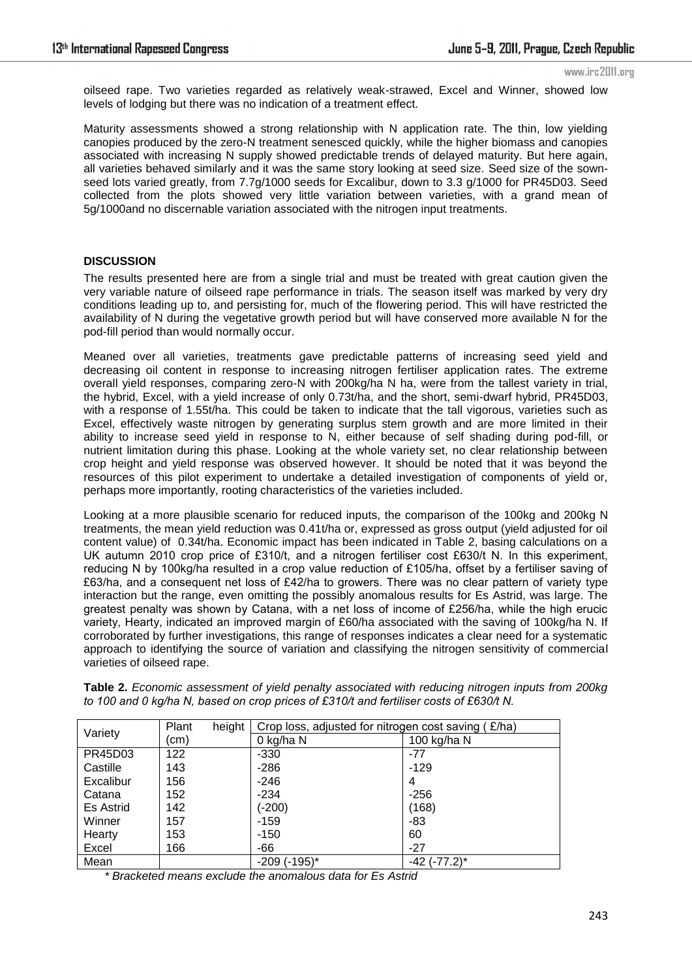www.irc2011.org

oilseed rape. Two varieties regarded as relatively weak-strawed, Excel and Winner, showed low levels of lodging but there was no indication of a treatment effect.

Maturity assessments showed a strong relationship with N application rate. The thin, low yielding canopies produced by the zero-N treatment senesced quickly, while the higher biomass and canopies associated with increasing N supply showed predictable trends of delayed maturity. But here again, all varieties behaved similarly and it was the same story looking at seed size. Seed size of the sownseed lots varied greatly, from 7.7g/1000 seeds for Excalibur, down to 3.3 g/1000 for PR45D03. Seed collected from the plots showed very little variation between varieties, with a grand mean of 5g/1000and no discernable variation associated with the nitrogen input treatments.

#### **DISCUSSION**

The results presented here are from a single trial and must be treated with great caution given the very variable nature of oilseed rape performance in trials. The season itself was marked by very dry conditions leading up to, and persisting for, much of the flowering period. This will have restricted the availability of N during the vegetative growth period but will have conserved more available N for the pod-fill period than would normally occur.

Meaned over all varieties, treatments gave predictable patterns of increasing seed yield and decreasing oil content in response to increasing nitrogen fertiliser application rates. The extreme overall yield responses, comparing zero-N with 200kg/ha N ha, were from the tallest variety in trial, the hybrid, Excel, with a yield increase of only 0.73t/ha, and the short, semi-dwarf hybrid, PR45D03, with a response of 1.55t/ha. This could be taken to indicate that the tall vigorous, varieties such as Excel, effectively waste nitrogen by generating surplus stem growth and are more limited in their ability to increase seed yield in response to N, either because of self shading during pod-fill, or nutrient limitation during this phase. Looking at the whole variety set, no clear relationship between crop height and yield response was observed however. It should be noted that it was beyond the resources of this pilot experiment to undertake a detailed investigation of components of yield or, perhaps more importantly, rooting characteristics of the varieties included.

Looking at a more plausible scenario for reduced inputs, the comparison of the 100kg and 200kg N treatments, the mean yield reduction was 0.41t/ha or, expressed as gross output (yield adjusted for oil content value) of 0.34t/ha. Economic impact has been indicated in Table 2, basing calculations on a UK autumn 2010 crop price of £310/t, and a nitrogen fertiliser cost £630/t N. In this experiment, reducing N by 100kg/ha resulted in a crop value reduction of £105/ha, offset by a fertiliser saving of £63/ha, and a consequent net loss of £42/ha to growers. There was no clear pattern of variety type interaction but the range, even omitting the possibly anomalous results for Es Astrid, was large. The greatest penalty was shown by Catana, with a net loss of income of £256/ha, while the high erucic variety, Hearty, indicated an improved margin of £60/ha associated with the saving of 100kg/ha N. If corroborated by further investigations, this range of responses indicates a clear need for a systematic approach to identifying the source of variation and classifying the nitrogen sensitivity of commercial varieties of oilseed rape.

| Variety   | height<br>Plant | Crop loss, adjusted for nitrogen cost saving (£/ha) |                    |  |  |  |
|-----------|-----------------|-----------------------------------------------------|--------------------|--|--|--|
|           | (cm             | 0 kg/ha N                                           | 100 kg/ha N        |  |  |  |
| PR45D03   | 122             | $-330$                                              | $-77$              |  |  |  |
| Castille  | 143             | $-286$                                              | $-129$             |  |  |  |
| Excalibur | 156             | -246                                                | 4                  |  |  |  |
| Catana    | 152             | -234                                                | $-256$             |  |  |  |
| Es Astrid | 142             | $(-200)$                                            | (168)              |  |  |  |
| Winner    | 157             | -159                                                | -83                |  |  |  |
| Hearty    | 153             | $-150$                                              | 60                 |  |  |  |
| Excel     | 166             | -66                                                 | $-27$              |  |  |  |
| Mean      |                 | $-209$ ( $-195$ )*                                  | $-42$ ( $-77.2$ )* |  |  |  |

**Table 2.** *Economic assessment of yield penalty associated with reducing nitrogen inputs from 200kg to 100 and 0 kg/ha N, based on crop prices of £310/t and fertiliser costs of £630/t N.*

*\* Bracketed means exclude the anomalous data for Es Astrid*